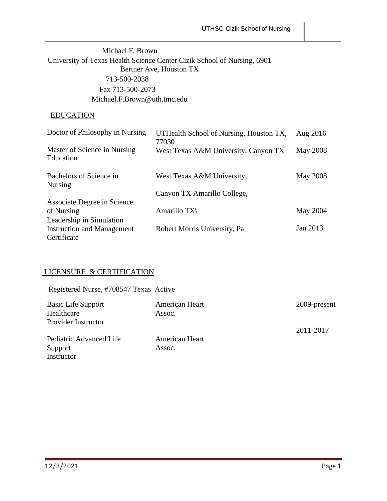## Michael F. Brown University of Texas Health Science Center Cizik School of Nursing, 6901 Bertner Ave, Houston TX 713-500-2038 Fax 713-500-2073 [Michael.F.Brown@uth.tmc.edu](mailto:Michael.F.Brown@uth.tmc.edu)

## EDUCATION

| Doctor of Philosophy in Nursing           | UTHealth School of Nursing, Houston TX,<br>77030 | Aug 2016 |
|-------------------------------------------|--------------------------------------------------|----------|
| Master of Science in Nursing<br>Education | West Texas A&M University, Canyon TX             | May 2008 |
| Bachelors of Science in<br><b>Nursing</b> | West Texas A&M University,                       | May 2008 |
|                                           | Canyon TX Amarillo College,                      |          |
| Associate Degree in Science               |                                                  |          |
| of Nursing                                | Amarillo TX\                                     | May 2004 |
| Leadership in Simulation                  |                                                  |          |
| <b>Instruction and Management</b>         | Robert Morris University, Pa                     | Jan 2013 |
| Certificate                               |                                                  |          |

## LICENSURE & CERTIFICATION

Registered Nurse, #708547 Texas Active

| <b>Basic Life Support</b> | American Heart | 2009-present |
|---------------------------|----------------|--------------|
| Healthcare                | Assoc.         |              |
| Provider Instructor       |                |              |
|                           |                | 2011-2017    |
| Pediatric Advanced Life   | American Heart |              |
| Support                   | Assoc.         |              |
| Instructor                |                |              |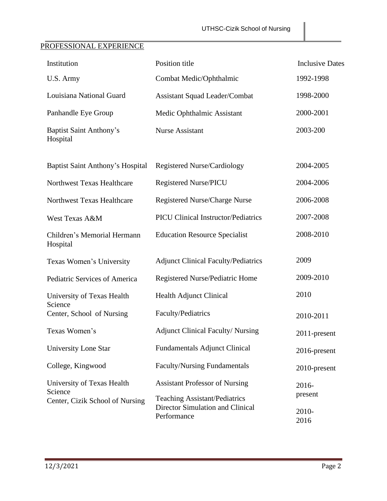# PROFESSIONAL EXPERIENCE

| Institution                                | Position title                                                                          | <b>Inclusive Dates</b>   |
|--------------------------------------------|-----------------------------------------------------------------------------------------|--------------------------|
| U.S. Army                                  | Combat Medic/Ophthalmic                                                                 | 1992-1998                |
| Louisiana National Guard                   | <b>Assistant Squad Leader/Combat</b>                                                    | 1998-2000                |
| Panhandle Eye Group                        | Medic Ophthalmic Assistant                                                              | 2000-2001                |
| <b>Baptist Saint Anthony's</b><br>Hospital | <b>Nurse Assistant</b>                                                                  | 2003-200                 |
| <b>Baptist Saint Anthony's Hospital</b>    | <b>Registered Nurse/Cardiology</b>                                                      | 2004-2005                |
| Northwest Texas Healthcare                 | <b>Registered Nurse/PICU</b>                                                            | 2004-2006                |
| Northwest Texas Healthcare                 | Registered Nurse/Charge Nurse                                                           | 2006-2008                |
| West Texas A&M                             | <b>PICU Clinical Instructor/Pediatrics</b>                                              | 2007-2008                |
| Children's Memorial Hermann<br>Hospital    | <b>Education Resource Specialist</b>                                                    | 2008-2010                |
| Texas Women's University                   | <b>Adjunct Clinical Faculty/Pediatrics</b>                                              | 2009                     |
| Pediatric Services of America              | Registered Nurse/Pediatric Home                                                         | 2009-2010                |
| University of Texas Health                 | <b>Health Adjunct Clinical</b>                                                          | 2010                     |
| Science<br>Center, School of Nursing       | Faculty/Pediatrics                                                                      | 2010-2011                |
| Texas Women's                              | <b>Adjunct Clinical Faculty/ Nursing</b>                                                | 2011-present             |
| <b>University Lone Star</b>                | <b>Fundamentals Adjunct Clinical</b>                                                    | 2016-present             |
| College, Kingwood                          | <b>Faculty/Nursing Fundamentals</b>                                                     | 2010-present             |
| University of Texas Health<br>Science      | <b>Assistant Professor of Nursing</b>                                                   | 2016-                    |
| Center, Cizik School of Nursing            | <b>Teaching Assistant/Pediatrics</b><br>Director Simulation and Clinical<br>Performance | present<br>2010-<br>2016 |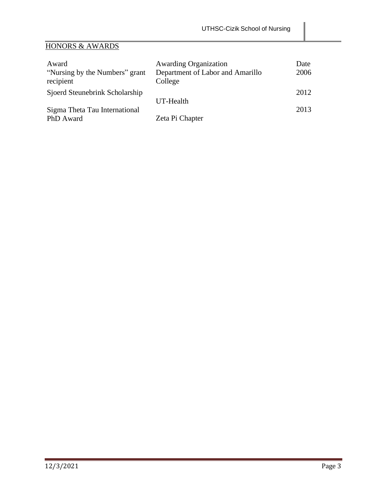# HONORS & AWARDS

| Award                                       | <b>Awarding Organization</b>                | Date |
|---------------------------------------------|---------------------------------------------|------|
| "Nursing by the Numbers" grant<br>recipient | Department of Labor and Amarillo<br>College | 2006 |
| Sjoerd Steunebrink Scholarship              |                                             | 2012 |
|                                             | UT-Health                                   |      |
| Sigma Theta Tau International               |                                             | 2013 |
| PhD Award                                   | Zeta Pi Chapter                             |      |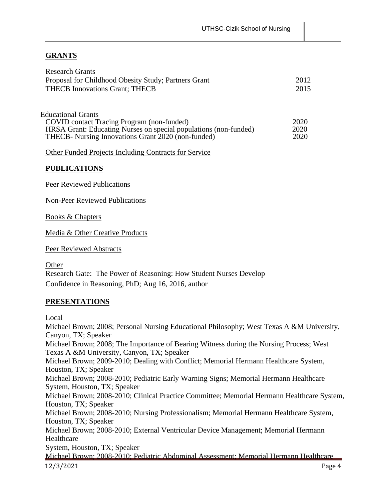## **GRANTS**

| <b>Research Grants</b>                                           |      |
|------------------------------------------------------------------|------|
| Proposal for Childhood Obesity Study; Partners Grant             | 2012 |
| <b>THECB Innovations Grant; THECB</b>                            | 2015 |
|                                                                  |      |
| <b>Educational Grants</b>                                        |      |
| COVID contact Tracing Program (non-funded)                       | 2020 |
| HRSA Grant: Educating Nurses on special populations (non-funded) | 2020 |
| THECB- Nursing Innovations Grant 2020 (non-funded)               | 2020 |
|                                                                  |      |
| Other Funded Projects Including Contracts for Service            |      |

#### **PUBLICATIONS**

Peer Reviewed Publications

Non-Peer Reviewed Publications

Books & Chapters

Media & Other Creative Products

Peer Reviewed Abstracts

**Other** Research Gate: The Power of Reasoning: How Student Nurses Develop Confidence in Reasoning, PhD; Aug 16, 2016, author

#### **PRESENTATIONS**

Local

12/3/2021 Page 4 Michael Brown; 2008; Personal Nursing Educational Philosophy; West Texas A &M University, Canyon, TX; Speaker Michael Brown; 2008; The Importance of Bearing Witness during the Nursing Process; West Texas A &M University, Canyon, TX; Speaker Michael Brown; 2009-2010; Dealing with Conflict; Memorial Hermann Healthcare System, Houston, TX; Speaker Michael Brown; 2008-2010; Pediatric Early Warning Signs; Memorial Hermann Healthcare System, Houston, TX; Speaker Michael Brown; 2008-2010; Clinical Practice Committee; Memorial Hermann Healthcare System, Houston, TX; Speaker Michael Brown; 2008-2010; Nursing Professionalism; Memorial Hermann Healthcare System, Houston, TX; Speaker Michael Brown; 2008-2010; External Ventricular Device Management; Memorial Hermann Healthcare System, Houston, TX; Speaker Michael Brown; 2008-2010; Pediatric Abdominal Assessment; Memorial Hermann Healthcare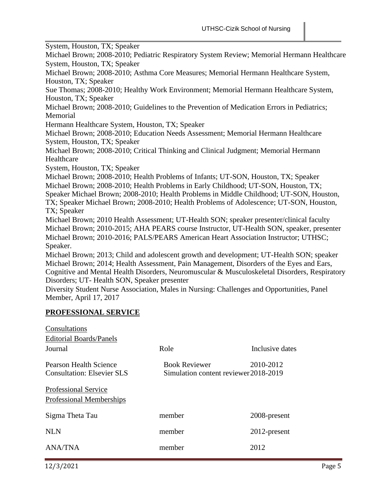System, Houston, TX; Speaker

Michael Brown; 2008-2010; Pediatric Respiratory System Review; Memorial Hermann Healthcare System, Houston, TX; Speaker

Michael Brown; 2008-2010; Asthma Core Measures; Memorial Hermann Healthcare System, Houston, TX; Speaker

Sue Thomas; 2008-2010; Healthy Work Environment; Memorial Hermann Healthcare System, Houston, TX; Speaker

Michael Brown; 2008-2010; Guidelines to the Prevention of Medication Errors in Pediatrics; Memorial

Hermann Healthcare System, Houston, TX; Speaker

Michael Brown; 2008-2010; Education Needs Assessment; Memorial Hermann Healthcare System, Houston, TX; Speaker

Michael Brown; 2008-2010; Critical Thinking and Clinical Judgment; Memorial Hermann Healthcare

System, Houston, TX; Speaker

Michael Brown; 2008-2010; Health Problems of Infants; UT-SON, Houston, TX; Speaker Michael Brown; 2008-2010; Health Problems in Early Childhood; UT-SON, Houston, TX; Speaker Michael Brown; 2008-2010; Health Problems in Middle Childhood; UT-SON, Houston, TX; Speaker Michael Brown; 2008-2010; Health Problems of Adolescence; UT-SON, Houston, TX; Speaker

Michael Brown; 2010 Health Assessment; UT-Health SON; speaker presenter/clinical faculty Michael Brown; 2010-2015; AHA PEARS course Instructor, UT-Health SON, speaker, presenter Michael Brown; 2010-2016; PALS/PEARS American Heart Association Instructor; UTHSC; Speaker.

Michael Brown; 2013; Child and adolescent growth and development; UT-Health SON; speaker Michael Brown; 2014; Health Assessment, Pain Management, Disorders of the Eyes and Ears, Cognitive and Mental Health Disorders, Neuromuscular & Musculoskeletal Disorders, Respiratory Disorders; UT- Health SON, Speaker presenter

Diversity Student Nurse Association, Males in Nursing: Challenges and Opportunities, Panel Member, April 17, 2017

### **PROFESSIONAL SERVICE**

 $\sim$   $\sim$   $\sim$ 

| Consultations                                               |                                                               |                 |
|-------------------------------------------------------------|---------------------------------------------------------------|-----------------|
| <b>Editorial Boards/Panels</b>                              |                                                               |                 |
| Journal                                                     | Role                                                          | Inclusive dates |
| Pearson Health Science<br><b>Consultation: Elsevier SLS</b> | <b>Book Reviewer</b><br>Simulation content reviewer 2018-2019 | 2010-2012       |
| <b>Professional Service</b>                                 |                                                               |                 |
| Professional Memberships                                    |                                                               |                 |
| Sigma Theta Tau                                             | member                                                        | 2008-present    |
| <b>NLN</b>                                                  | member                                                        | 2012-present    |
| <b>ANA/TNA</b>                                              | member                                                        | 2012            |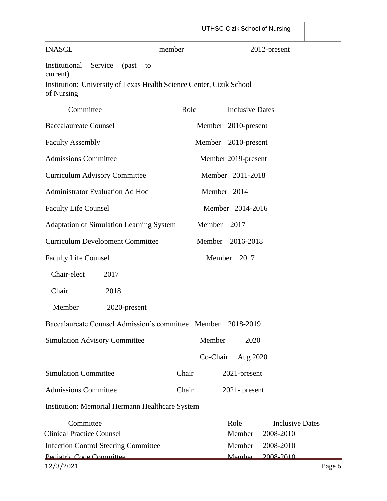| <b>INASCL</b>                                                                                                                                 | member   |                        | 2012-present                        |
|-----------------------------------------------------------------------------------------------------------------------------------------------|----------|------------------------|-------------------------------------|
| <b>Institutional Service</b><br>(past<br>to<br>current)<br>Institution: University of Texas Health Science Center, Cizik School<br>of Nursing |          |                        |                                     |
| Committee                                                                                                                                     | Role     | <b>Inclusive Dates</b> |                                     |
| <b>Baccalaureate Counsel</b>                                                                                                                  |          | Member 2010-present    |                                     |
| <b>Faculty Assembly</b>                                                                                                                       |          | Member 2010-present    |                                     |
| <b>Admissions Committee</b>                                                                                                                   |          | Member 2019-present    |                                     |
| <b>Curriculum Advisory Committee</b>                                                                                                          |          | Member 2011-2018       |                                     |
| <b>Administrator Evaluation Ad Hoc</b>                                                                                                        |          | Member 2014            |                                     |
| <b>Faculty Life Counsel</b>                                                                                                                   |          | Member 2014-2016       |                                     |
| Adaptation of Simulation Learning System                                                                                                      | Member   | 2017                   |                                     |
| <b>Curriculum Development Committee</b>                                                                                                       |          | Member 2016-2018       |                                     |
| <b>Faculty Life Counsel</b>                                                                                                                   |          | Member 2017            |                                     |
| Chair-elect<br>2017                                                                                                                           |          |                        |                                     |
| Chair<br>2018                                                                                                                                 |          |                        |                                     |
| Member<br>2020-present                                                                                                                        |          |                        |                                     |
| Baccalaureate Counsel Admission's committee Member 2018-2019                                                                                  |          |                        |                                     |
| <b>Simulation Advisory Committee</b>                                                                                                          | Member   | 2020                   |                                     |
|                                                                                                                                               | Co-Chair | Aug 2020               |                                     |
| <b>Simulation Committee</b>                                                                                                                   | Chair    | 2021-present           |                                     |
| <b>Admissions Committee</b>                                                                                                                   | Chair    | $2021$ - present       |                                     |
| <b>Institution: Memorial Hermann Healthcare System</b>                                                                                        |          |                        |                                     |
| Committee<br><b>Clinical Practice Counsel</b>                                                                                                 |          | Role<br>Member         | <b>Inclusive Dates</b><br>2008-2010 |
| <b>Infection Control Steering Committee</b><br>Pediatric Code Committee                                                                       |          | Member<br>Member       | 2008-2010<br>2008-2010              |
| 12/3/2021                                                                                                                                     |          |                        | Page 6                              |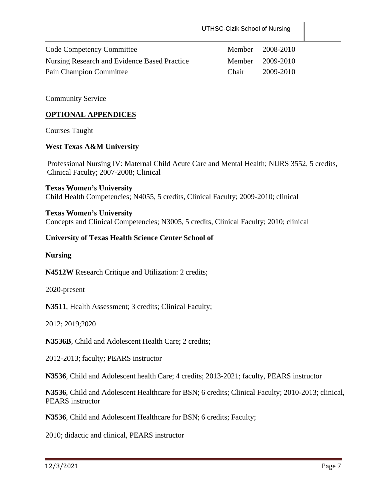| <b>Code Competency Committee</b>             |              | Member 2008-2010 |
|----------------------------------------------|--------------|------------------|
| Nursing Research and Evidence Based Practice |              | Member 2009-2010 |
| Pain Champion Committee                      | <b>Chair</b> | 2009-2010        |

#### Community Service

#### **OPTIONAL APPENDICES**

#### Courses Taught

#### **West Texas A&M University**

Professional Nursing IV: Maternal Child Acute Care and Mental Health; NURS 3552, 5 credits, Clinical Faculty; 2007-2008; Clinical

**Texas Women's University** Child Health Competencies; N4055, 5 credits, Clinical Faculty; 2009-2010; clinical

**Texas Women's University** Concepts and Clinical Competencies; N3005, 5 credits, Clinical Faculty; 2010; clinical

#### **University of Texas Health Science Center School of**

#### **Nursing**

**N4512W** Research Critique and Utilization: 2 credits;

2020-present

**N3511**, Health Assessment; 3 credits; Clinical Faculty;

2012; 2019;2020

**N3536B**, Child and Adolescent Health Care; 2 credits;

2012-2013; faculty; PEARS instructor

**N3536**, Child and Adolescent health Care; 4 credits; 2013-2021; faculty, PEARS instructor

**N3536**, Child and Adolescent Healthcare for BSN; 6 credits; Clinical Faculty; 2010-2013; clinical, PEARS instructor

**N3536**, Child and Adolescent Healthcare for BSN; 6 credits; Faculty;

2010; didactic and clinical, PEARS instructor